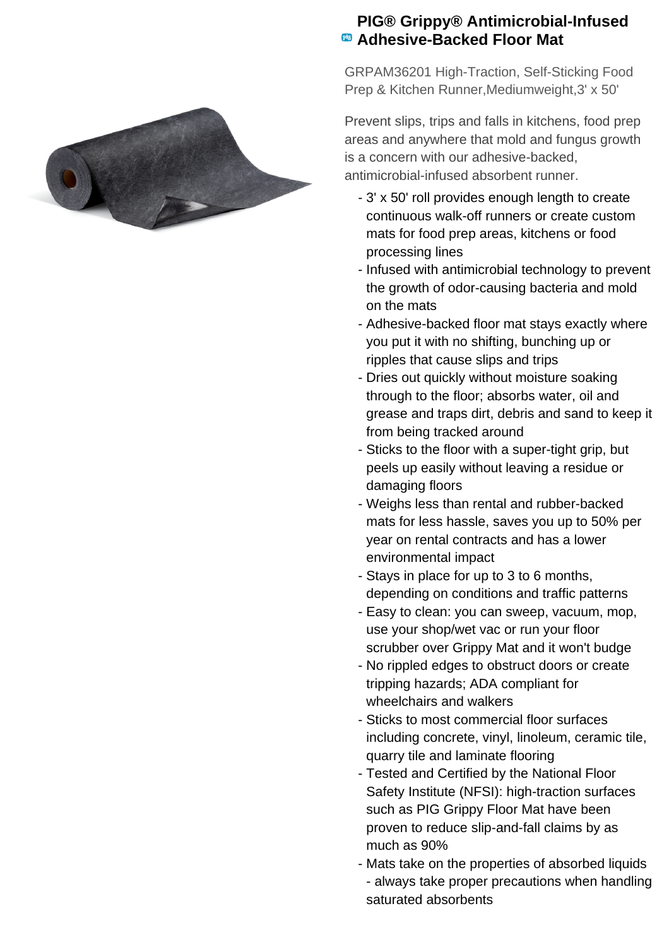

## **PIG® Grippy® Antimicrobial-Infused Adhesive-Backed Floor Mat**

GRPAM36201 High-Traction, Self-Sticking Food Prep & Kitchen Runner,Mediumweight,3' x 50'

Prevent slips, trips and falls in kitchens, food prep areas and anywhere that mold and fungus growth is a concern with our adhesive-backed, antimicrobial-infused absorbent runner.

- 3' x 50' roll provides enough length to create continuous walk-off runners or create custom mats for food prep areas, kitchens or food processing lines
- Infused with antimicrobial technology to prevent the growth of odor-causing bacteria and mold on the mats
- Adhesive-backed floor mat stays exactly where you put it with no shifting, bunching up or ripples that cause slips and trips
- Dries out quickly without moisture soaking through to the floor; absorbs water, oil and grease and traps dirt, debris and sand to keep it from being tracked around
- Sticks to the floor with a super-tight grip, but peels up easily without leaving a residue or damaging floors
- Weighs less than rental and rubber-backed mats for less hassle, saves you up to 50% per year on rental contracts and has a lower environmental impact
- Stays in place for up to 3 to 6 months, depending on conditions and traffic patterns
- Easy to clean: you can sweep, vacuum, mop, use your shop/wet vac or run your floor scrubber over Grippy Mat and it won't budge
- No rippled edges to obstruct doors or create tripping hazards; ADA compliant for wheelchairs and walkers
- Sticks to most commercial floor surfaces including concrete, vinyl, linoleum, ceramic tile, quarry tile and laminate flooring
- Tested and Certified by the National Floor Safety Institute (NFSI): high-traction surfaces such as PIG Grippy Floor Mat have been proven to reduce slip-and-fall claims by as much as 90%
- Mats take on the properties of absorbed liquids -- always take proper precautions when handling saturated absorbents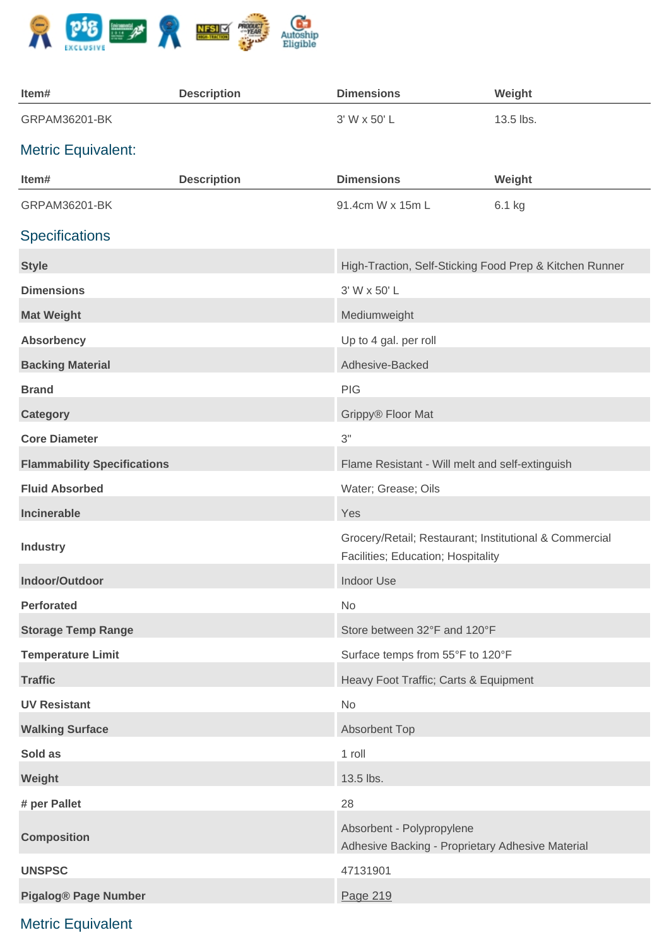

| Item#                              | <b>Description</b> | <b>Dimensions</b>                                                                            | Weight    |
|------------------------------------|--------------------|----------------------------------------------------------------------------------------------|-----------|
| GRPAM36201-BK                      |                    | 3' W x 50' L                                                                                 | 13.5 lbs. |
| <b>Metric Equivalent:</b>          |                    |                                                                                              |           |
| Item#                              | <b>Description</b> | <b>Dimensions</b>                                                                            | Weight    |
| GRPAM36201-BK                      |                    | 91.4cm W x 15m L                                                                             | 6.1 kg    |
| <b>Specifications</b>              |                    |                                                                                              |           |
| <b>Style</b>                       |                    | High-Traction, Self-Sticking Food Prep & Kitchen Runner                                      |           |
| <b>Dimensions</b>                  |                    | 3' W x 50' L                                                                                 |           |
| <b>Mat Weight</b>                  |                    | Mediumweight                                                                                 |           |
| <b>Absorbency</b>                  |                    | Up to 4 gal. per roll                                                                        |           |
| <b>Backing Material</b>            |                    | Adhesive-Backed                                                                              |           |
| <b>Brand</b>                       |                    | <b>PIG</b>                                                                                   |           |
| <b>Category</b>                    |                    | Grippy® Floor Mat                                                                            |           |
| <b>Core Diameter</b>               |                    | 3"                                                                                           |           |
| <b>Flammability Specifications</b> |                    | Flame Resistant - Will melt and self-extinguish                                              |           |
| <b>Fluid Absorbed</b>              |                    | Water; Grease; Oils                                                                          |           |
| Incinerable                        |                    | Yes                                                                                          |           |
| <b>Industry</b>                    |                    | Grocery/Retail; Restaurant; Institutional & Commercial<br>Facilities; Education; Hospitality |           |
| Indoor/Outdoor                     |                    | <b>Indoor Use</b>                                                                            |           |
| <b>Perforated</b>                  |                    | No                                                                                           |           |
| <b>Storage Temp Range</b>          |                    | Store between 32°F and 120°F                                                                 |           |
| <b>Temperature Limit</b>           |                    | Surface temps from 55°F to 120°F                                                             |           |
| <b>Traffic</b>                     |                    | Heavy Foot Traffic; Carts & Equipment                                                        |           |
| <b>UV Resistant</b>                |                    | No                                                                                           |           |
| <b>Walking Surface</b>             |                    | <b>Absorbent Top</b>                                                                         |           |
| Sold as                            |                    | 1 roll                                                                                       |           |
| Weight                             |                    | 13.5 lbs.                                                                                    |           |
| # per Pallet                       |                    | 28                                                                                           |           |
| <b>Composition</b>                 |                    | Absorbent - Polypropylene<br>Adhesive Backing - Proprietary Adhesive Material                |           |
| <b>UNSPSC</b>                      |                    | 47131901                                                                                     |           |
| <b>Pigalog® Page Number</b>        |                    | Page 219                                                                                     |           |
|                                    |                    |                                                                                              |           |

## Metric Equivalent